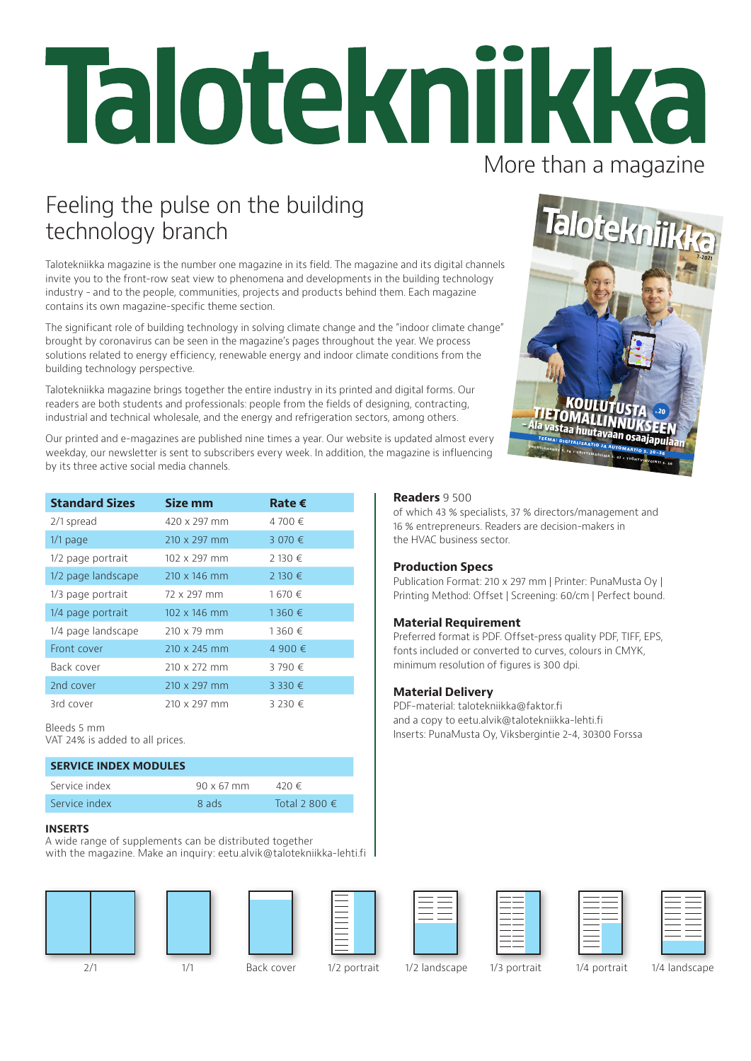# Talotekniikka More than a magazine

### Feeling the pulse on the building technology branch

Talotekniikka magazine is the number one magazine in its field. The magazine and its digital channels invite you to the front-row seat view to phenomena and developments in the building technology industry - and to the people, communities, projects and products behind them. Each magazine contains its own magazine-specific theme section.

The significant role of building technology in solving climate change and the "indoor climate change" brought by coronavirus can be seen in the magazine's pages throughout the year. We process solutions related to energy efficiency, renewable energy and indoor climate conditions from the building technology perspective.

Talotekniikka magazine brings together the entire industry in its printed and digital forms. Our readers are both students and professionals: people from the fields of designing, contracting, industrial and technical wholesale, and the energy and refrigeration sectors, among others.

Our printed and e-magazines are published nine times a year. Our website is updated almost every weekday, our newsletter is sent to subscribers every week. In addition, the magazine is influencing by its three active social media channels.



| <b>Standard Sizes</b> | Size mm             | Rate $\epsilon$ |
|-----------------------|---------------------|-----------------|
| 2/1 spread            | 420 x 297 mm        | 4 700 €         |
| $1/1$ page            | $210 \times 297$ mm | 3 070 €         |
| 1/2 page portrait     | $102 \times 297$ mm | 2 130 €         |
| 1/2 page landscape    | 210 x 146 mm        | 2 130 €         |
| 1/3 page portrait     | 72 x 297 mm         | 1670€           |
| 1/4 page portrait     | $102 \times 146$ mm | 1360€           |
| 1/4 page landscape    | $210 \times 79$ mm  | 1360€           |
| Front cover           | $210 \times 245$ mm | 4 900 €         |
| Back cover            | 210 x 272 mm        | 3790€           |
| 2nd cover             | 210 x 297 mm        | 3 330 €         |
| 3rd cover             | $210 \times 297$ mm | 3 230 €         |

Bleeds 5 mm

VAT 24% is added to all prices.

### **SERVICE INDEX MODULES**

| Service index | $90 \times 67$ mm | 420 €                  |
|---------------|-------------------|------------------------|
| Service index | 8 ads             | Total 2 800 $\epsilon$ |
|               |                   |                        |

#### **INSERTS**

A wide range of supplements can be distributed together with the magazine. Make an inquiry: eetu.alvik@talotekniikka-lehti.fi







**Readers** 9 500

the HVAC business sector.

**Material Requirement**

minimum resolution of figures is 300 dpi.

PDF-material: talotekniikka@faktor.fi and a copy to eetu.alvik@talotekniikka-lehti.fi Inserts: PunaMusta Oy, Viksbergintie 2-4, 30300 Forssa

**Production Specs**

**Material Delivery**

of which 43 % specialists, 37 % directors/management and 16 % entrepreneurs. Readers are decision-makers in

Publication Format: 210 x 297 mm | Printer: PunaMusta Oy | Printing Method: Offset | Screening: 60/cm | Perfect bound.

Preferred format is PDF. Offset-press quality PDF, TIFF, EPS, fonts included or converted to curves, colours in CMYK,

2/1 1/1 Back cover 1/2 portrait 1/2 landscape 1/3 portrait 1/4 portrait 1/4 landscape